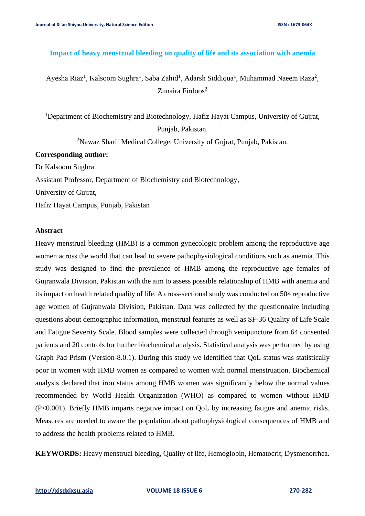### **Impact of heavy menstrual bleeding on quality of life and its association with anemia**

Ayesha Riaz<sup>1</sup>, Kalsoom Sughra<sup>1</sup>, Saba Zahid<sup>1</sup>, Adarsh Siddiqua<sup>1</sup>, Muhammad Naeem Raza<sup>2</sup>, Zunaira Firdoos<sup>2</sup>

<sup>1</sup>Department of Biochemistry and Biotechnology, Hafiz Hayat Campus, University of Gujrat, Punjab, Pakistan.

<sup>2</sup>Nawaz Sharif Medical College, University of Gujrat, Punjab, Pakistan.

#### **Corresponding author:**

Dr Kalsoom Sughra

Assistant Professor, Department of Biochemistry and Biotechnology,

University of Gujrat,

Hafiz Hayat Campus, Punjab, Pakistan

### **Abstract**

Heavy menstrual bleeding (HMB) is a common gynecologic problem among the reproductive age women across the world that can lead to severe pathophysiological conditions such as anemia. This study was designed to find the prevalence of HMB among the reproductive age females of Gujranwala Division, Pakistan with the aim to assess possible relationship of HMB with anemia and its impact on health related quality of life. A cross-sectional study was conducted on 504 reproductive age women of Gujranwala Division, Pakistan. Data was collected by the questionnaire including questions about demographic information, menstrual features as well as SF-36 Quality of Life Scale and Fatigue Severity Scale. Blood samples were collected through venipuncture from 64 consented patients and 20 controls for further biochemical analysis. Statistical analysis was performed by using Graph Pad Prism (Version-8.0.1). During this study we identified that QoL status was statistically poor in women with HMB women as compared to women with normal menstruation. Biochemical analysis declared that iron status among HMB women was significantly below the normal values recommended by World Health Organization (WHO) as compared to women without HMB (P<0.001). Briefly HMB imparts negative impact on QoL by increasing fatigue and anemic risks. Measures are needed to aware the population about pathophysiological consequences of HMB and to address the health problems related to HMB.

**KEYWORDS:** Heavy menstrual bleeding, Quality of life, Hemoglobin, Hematocrit, Dysmenorrhea.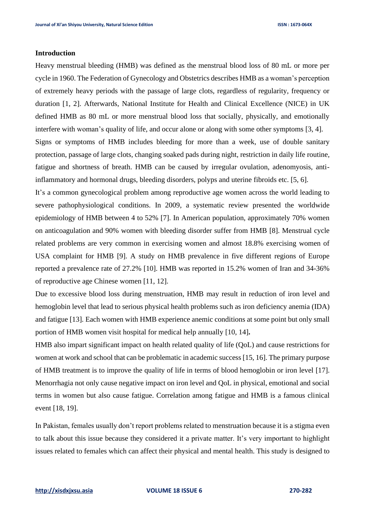# **Introduction**

Heavy menstrual bleeding (HMB) was defined as the menstrual blood loss of 80 mL or more per cycle in 1960. The Federation of Gynecology and Obstetrics describes HMB as a woman's perception of extremely heavy periods with the passage of large clots, regardless of regularity, frequency or duration [1, 2]. Afterwards, National Institute for Health and Clinical Excellence (NICE) in UK defined HMB as 80 mL or more menstrual blood loss that socially, physically, and emotionally interfere with woman's quality of life, and occur alone or along with some other symptoms [3, 4]. Signs or symptoms of HMB includes bleeding for more than a week, use of double sanitary protection, passage of large clots, changing soaked pads during night, restriction in daily life routine, fatigue and shortness of breath. HMB can be caused by irregular ovulation, adenomyosis, antiinflammatory and hormonal drugs, bleeding disorders, polyps and uterine fibroids etc. [5, 6].

It's a common gynecological problem among reproductive age women across the world leading to severe pathophysiological conditions. In 2009, a systematic review presented the worldwide epidemiology of HMB between 4 to 52% [7]. In American population, approximately 70% women on anticoagulation and 90% women with bleeding disorder suffer from HMB [8]. Menstrual cycle related problems are very common in exercising women and almost 18.8% exercising women of USA complaint for HMB [9]. A study on HMB prevalence in five different regions of Europe reported a prevalence rate of 27.2% [10]. HMB was reported in 15.2% women of Iran and 34-36% of reproductive age Chinese women [11, 12].

Due to excessive blood loss during menstruation, HMB may result in reduction of iron level and hemoglobin level that lead to serious physical health problems such as iron deficiency anemia (IDA) and fatigue [13]. Each women with HMB experience anemic conditions at some point but only small portion of HMB women visit hospital for medical help annually [10, 14]**.**

HMB also impart significant impact on health related quality of life (QoL) and cause restrictions for women at work and school that can be problematic in academic success [15, 16]. The primary purpose of HMB treatment is to improve the quality of life in terms of blood hemoglobin or iron level [17]. Menorrhagia not only cause negative impact on iron level and QoL in physical, emotional and social terms in women but also cause fatigue. Correlation among fatigue and HMB is a famous clinical event [18, 19].

In Pakistan, females usually don't report problems related to menstruation because it is a stigma even to talk about this issue because they considered it a private matter. It's very important to highlight issues related to females which can affect their physical and mental health. This study is designed to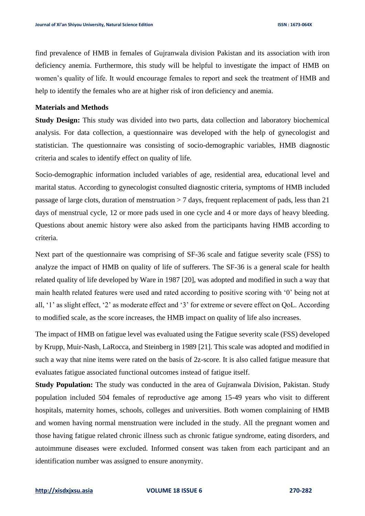find prevalence of HMB in females of Gujranwala division Pakistan and its association with iron deficiency anemia. Furthermore, this study will be helpful to investigate the impact of HMB on women's quality of life. It would encourage females to report and seek the treatment of HMB and help to identify the females who are at higher risk of iron deficiency and anemia.

### **Materials and Methods**

**Study Design:** This study was divided into two parts, data collection and laboratory biochemical analysis. For data collection, a questionnaire was developed with the help of gynecologist and statistician. The questionnaire was consisting of socio-demographic variables, HMB diagnostic criteria and scales to identify effect on quality of life.

Socio-demographic information included variables of age, residential area, educational level and marital status. According to gynecologist consulted diagnostic criteria, symptoms of HMB included passage of large clots, duration of menstruation  $> 7$  days, frequent replacement of pads, less than 21 days of menstrual cycle, 12 or more pads used in one cycle and 4 or more days of heavy bleeding. Questions about anemic history were also asked from the participants having HMB according to criteria.

Next part of the questionnaire was comprising of SF-36 scale and fatigue severity scale (FSS) to analyze the impact of HMB on quality of life of sufferers. The SF-36 is a general scale for health related quality of life developed by Ware in 1987 [20], was adopted and modified in such a way that main health related features were used and rated according to positive scoring with '0' being not at all, '1' as slight effect, '2' as moderate effect and '3' for extreme or severe effect on QoL. According to modified scale, as the score increases, the HMB impact on quality of life also increases.

The impact of HMB on fatigue level was evaluated using the Fatigue severity scale (FSS) developed by Krupp, Muir-Nash, LaRocca, and Steinberg in 1989 [21]. This scale was adopted and modified in such a way that nine items were rated on the basis of 2z-score. It is also called fatigue measure that evaluates fatigue associated functional outcomes instead of fatigue itself.

**Study Population:** The study was conducted in the area of Gujranwala Division, Pakistan. Study population included 504 females of reproductive age among 15-49 years who visit to different hospitals, maternity homes, schools, colleges and universities. Both women complaining of HMB and women having normal menstruation were included in the study. All the pregnant women and those having fatigue related chronic illness such as chronic fatigue syndrome, eating disorders, and autoimmune diseases were excluded. Informed consent was taken from each participant and an identification number was assigned to ensure anonymity.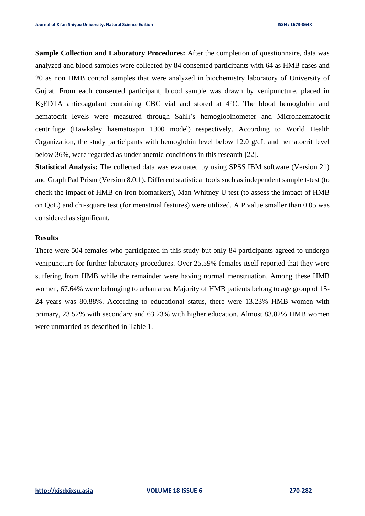**Sample Collection and Laboratory Procedures:** After the completion of questionnaire, data was analyzed and blood samples were collected by 84 consented participants with 64 as HMB cases and 20 as non HMB control samples that were analyzed in biochemistry laboratory of University of Gujrat. From each consented participant, blood sample was drawn by venipuncture, placed in K2EDTA anticoagulant containing CBC vial and stored at 4°C. The blood hemoglobin and hematocrit levels were measured through Sahli's hemoglobinometer and Microhaematocrit centrifuge (Hawksley haematospin 1300 model) respectively. According to World Health Organization, the study participants with hemoglobin level below 12.0 g/dL and hematocrit level below 36%, were regarded as under anemic conditions in this research [22].

**Statistical Analysis:** The collected data was evaluated by using SPSS IBM software (Version 21) and Graph Pad Prism (Version 8.0.1). Different statistical tools such as independent sample t-test (to check the impact of HMB on iron biomarkers), Man Whitney U test (to assess the impact of HMB on QoL) and chi-square test (for menstrual features) were utilized. A P value smaller than 0.05 was considered as significant.

# **Results**

There were 504 females who participated in this study but only 84 participants agreed to undergo venipuncture for further laboratory procedures. Over 25.59% females itself reported that they were suffering from HMB while the remainder were having normal menstruation. Among these HMB women, 67.64% were belonging to urban area. Majority of HMB patients belong to age group of 15- 24 years was 80.88%. According to educational status, there were 13.23% HMB women with primary, 23.52% with secondary and 63.23% with higher education. Almost 83.82% HMB women were unmarried as described in Table 1.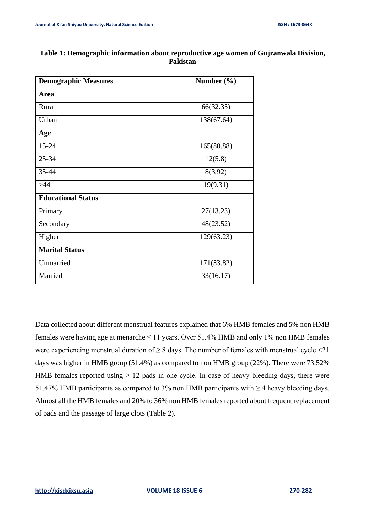| <b>Demographic Measures</b> | Number $(\% )$ |  |
|-----------------------------|----------------|--|
| Area                        |                |  |
| Rural                       | 66(32.35)      |  |
| Urban                       | 138(67.64)     |  |
| Age                         |                |  |
| 15-24                       | 165(80.88)     |  |
| 25-34                       | 12(5.8)        |  |
| 35-44                       | 8(3.92)        |  |
| >44                         | 19(9.31)       |  |
| <b>Educational Status</b>   |                |  |
| Primary                     | 27(13.23)      |  |
| Secondary                   | 48(23.52)      |  |
| Higher                      | 129(63.23)     |  |
| <b>Marital Status</b>       |                |  |
| Unmarried                   | 171(83.82)     |  |
| Married                     | 33(16.17)      |  |
|                             |                |  |

# **Table 1: Demographic information about reproductive age women of Gujranwala Division, Pakistan**

Data collected about different menstrual features explained that 6% HMB females and 5% non HMB females were having age at menarche  $\leq 11$  years. Over 51.4% HMB and only 1% non HMB females were experiencing menstrual duration of  $\geq 8$  days. The number of females with menstrual cycle <21 days was higher in HMB group (51.4%) as compared to non HMB group (22%). There were 73.52% HMB females reported using  $\geq 12$  pads in one cycle. In case of heavy bleeding days, there were 51.47% HMB participants as compared to 3% non HMB participants with  $\geq$  4 heavy bleeding days. Almost all the HMB females and 20% to 36% non HMB females reported about frequent replacement of pads and the passage of large clots (Table 2).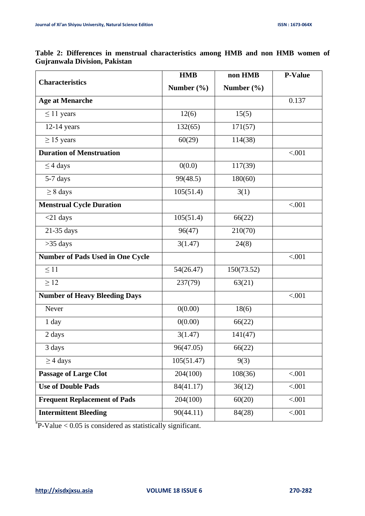$\mathbf{r}$ 

|                                         | <b>HMB</b> | non HMB        | <b>P-Value</b> |
|-----------------------------------------|------------|----------------|----------------|
| <b>Characteristics</b>                  | Number (%) | Number $(\% )$ |                |
| <b>Age at Menarche</b>                  |            |                | 0.137          |
| $\leq$ 11 years                         | 12(6)      | 15(5)          |                |
| $12-14$ years                           | 132(65)    | 171(57)        |                |
| $\geq$ 15 years                         | 60(29)     | 114(38)        |                |
| <b>Duration of Menstruation</b>         |            |                | < .001         |
| $\leq$ 4 days                           | 0(0.0)     | 117(39)        |                |
| 5-7 days                                | 99(48.5)   | 180(60)        |                |
| $\geq 8$ days                           | 105(51.4)  | 3(1)           |                |
| <b>Menstrual Cycle Duration</b>         |            |                | < .001         |
| $<$ 21 days                             | 105(51.4)  | 66(22)         |                |
| 21-35 days                              | 96(47)     | 210(70)        |                |
| $>35$ days                              | 3(1.47)    | 24(8)          |                |
| <b>Number of Pads Used in One Cycle</b> |            |                | < .001         |
| $\leq$ 11                               | 54(26.47)  | 150(73.52)     |                |
| $\geq$ 12                               | 237(79)    | 63(21)         |                |
| <b>Number of Heavy Bleeding Days</b>    |            |                | < .001         |
| Never                                   | 0(0.00)    | 18(6)          |                |
| 1 day                                   | 0(0.00)    | 66(22)         |                |
| 2 days                                  | 3(1.47)    | 141(47)        |                |
| 3 days                                  | 96(47.05)  | 66(22)         |                |
| $\geq$ 4 days                           | 105(51.47) | 9(3)           |                |
| <b>Passage of Large Clot</b>            | 204(100)   | 108(36)        | < .001         |
| <b>Use of Double Pads</b>               | 84(41.17)  | 36(12)         | < .001         |
| <b>Frequent Replacement of Pads</b>     | 204(100)   | 60(20)         | < .001         |
| <b>Intermittent Bleeding</b>            | 90(44.11)  | 84(28)         | < .001         |

**Table 2: Differences in menstrual characteristics among HMB and non HMB women of Gujranwala Division, Pakistan**

\*P-Value < 0.05 is considered as statistically significant.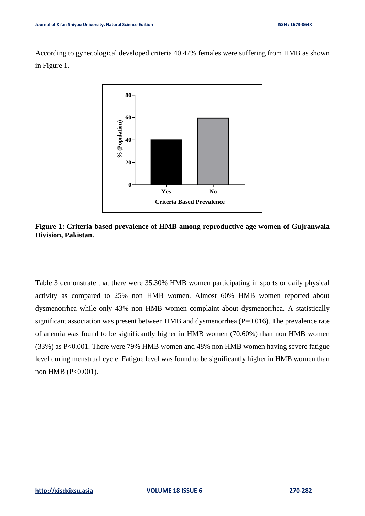According to gynecological developed criteria 40.47% females were suffering from HMB as shown in Figure 1.



**Figure 1: Criteria based prevalence of HMB among reproductive age women of Gujranwala Division, Pakistan.**

Table 3 demonstrate that there were 35.30% HMB women participating in sports or daily physical activity as compared to 25% non HMB women. Almost 60% HMB women reported about dysmenorrhea while only 43% non HMB women complaint about dysmenorrhea. A statistically significant association was present between HMB and dysmenorrhea (P=0.016). The prevalence rate of anemia was found to be significantly higher in HMB women (70.60%) than non HMB women (33%) as P<0.001. There were 79% HMB women and 48% non HMB women having severe fatigue level during menstrual cycle. Fatigue level was found to be significantly higher in HMB women than non HMB (P<0.001).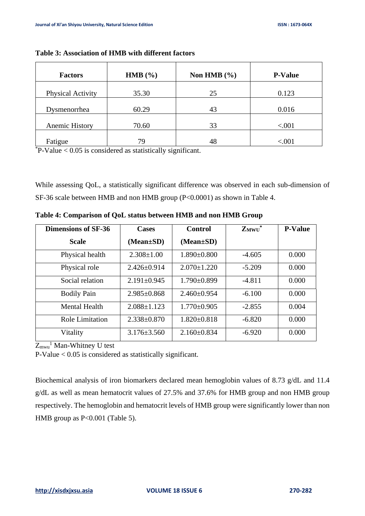| <b>Factors</b>           | HMB $(\% )$ | Non HMB $(\% )$ | <b>P-Value</b> |
|--------------------------|-------------|-----------------|----------------|
| <b>Physical Activity</b> | 35.30       | 25              | 0.123          |
| Dysmenorrhea             | 60.29       | 43              | 0.016          |
| Anemic History           | 70.60       | 33              | < .001         |
| Fatigue                  | 79          | 48              | $<\!\!.001$    |

**Table 3: Association of HMB with different factors**

 $*P-Value < 0.05$  is considered as statistically significant.

While assessing QoL, a statistically significant difference was observed in each sub-dimension of SF-36 scale between HMB and non HMB group (P<0.0001) as shown in Table 4.

| <b>Dimensions of SF-36</b> | <b>Cases</b>      | <b>Control</b>    | $Z_{M W U}^*$ | <b>P-Value</b> |
|----------------------------|-------------------|-------------------|---------------|----------------|
| <b>Scale</b>               | $(Mean \pm SD)$   | $(Mean \pm SD)$   |               |                |
| Physical health            | $2.308 \pm 1.00$  | $1.890\pm0.800$   | $-4.605$      | 0.000          |
| Physical role              | $2.426 \pm 0.914$ | $2.070 \pm 1.220$ | $-5.209$      | 0.000          |
| Social relation            | $2.191 \pm 0.945$ | $1.790\pm0.899$   | $-4.811$      | 0.000          |
| <b>Bodily Pain</b>         | $2.985 \pm 0.868$ | $2.460\pm0.954$   | $-6.100$      | 0.000          |
| Mental Health              | $2.088 \pm 1.123$ | $1.770 \pm 0.905$ | $-2.855$      | 0.004          |
| <b>Role Limitation</b>     | $2.338 \pm 0.870$ | $1.820 \pm 0.818$ | $-6.820$      | 0.000          |
| Vitality                   | $3.176 \pm 3.560$ | $2.160\pm0.834$   | $-6.920$      | 0.000          |

**Table 4: Comparison of QoL status between HMB and non HMB Group**

 $Z_{m w u}$ <sup>1</sup> Man-Whitney U test

P-Value < 0.05 is considered as statistically significant.

Biochemical analysis of iron biomarkers declared mean hemoglobin values of 8.73 g/dL and 11.4 g/dL as well as mean hematocrit values of 27.5% and 37.6% for HMB group and non HMB group respectively. The hemoglobin and hematocrit levels of HMB group were significantly lower than non HMB group as P<0.001 (Table 5).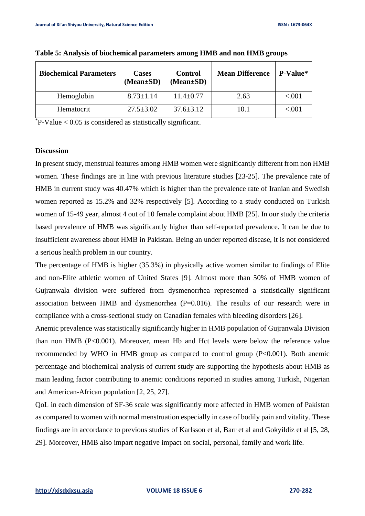| <b>Biochemical Parameters</b> | <b>Cases</b><br>$(Mean \pm SD)$ | <b>Control</b><br>$(Mean \pm SD)$ | <b>Mean Difference</b> | P-Value* |
|-------------------------------|---------------------------------|-----------------------------------|------------------------|----------|
| Hemoglobin                    | $8.73 \pm 1.14$                 | $11.4 \pm 0.77$                   | 2.63                   | < 0.001  |
| Hematocrit                    | $27.5 \pm 3.02$                 | $37.6 \pm 3.12$                   | 10.1                   | ${<}001$ |

 $P-Value < 0.05$  is considered as statistically significant.

### **Discussion**

In present study, menstrual features among HMB women were significantly different from non HMB women. These findings are in line with previous literature studies [23-25]. The prevalence rate of HMB in current study was 40.47% which is higher than the prevalence rate of Iranian and Swedish women reported as 15.2% and 32% respectively [5]. According to a study conducted on Turkish women of 15-49 year, almost 4 out of 10 female complaint about HMB [25]. In our study the criteria based prevalence of HMB was significantly higher than self-reported prevalence. It can be due to insufficient awareness about HMB in Pakistan. Being an under reported disease, it is not considered a serious health problem in our country.

The percentage of HMB is higher (35.3%) in physically active women similar to findings of Elite and non-Elite athletic women of United States [9]. Almost more than 50% of HMB women of Gujranwala division were suffered from dysmenorrhea represented a statistically significant association between HMB and dysmenorrhea (P=0.016). The results of our research were in compliance with a cross-sectional study on Canadian females with bleeding disorders [26].

Anemic prevalence was statistically significantly higher in HMB population of Gujranwala Division than non HMB (P<0.001). Moreover, mean Hb and Hct levels were below the reference value recommended by WHO in HMB group as compared to control group (P<0.001). Both anemic percentage and biochemical analysis of current study are supporting the hypothesis about HMB as main leading factor contributing to anemic conditions reported in studies among Turkish, Nigerian and American-African population [2, 25, 27].

QoL in each dimension of SF-36 scale was significantly more affected in HMB women of Pakistan as compared to women with normal menstruation especially in case of bodily pain and vitality. These findings are in accordance to previous studies of Karlsson et al, Barr et al and Gokyildiz et al [5, 28, 29]. Moreover, HMB also impart negative impact on social, personal, family and work life.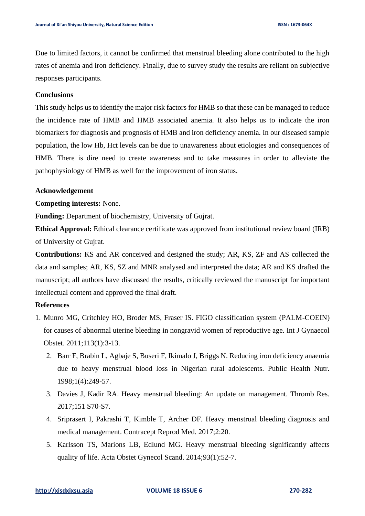Due to limited factors, it cannot be confirmed that menstrual bleeding alone contributed to the high rates of anemia and iron deficiency. Finally, due to survey study the results are reliant on subjective responses participants.

### **Conclusions**

This study helps us to identify the major risk factors for HMB so that these can be managed to reduce the incidence rate of HMB and HMB associated anemia. It also helps us to indicate the iron biomarkers for diagnosis and prognosis of HMB and iron deficiency anemia. In our diseased sample population, the low Hb, Hct levels can be due to unawareness about etiologies and consequences of HMB. There is dire need to create awareness and to take measures in order to alleviate the pathophysiology of HMB as well for the improvement of iron status.

### **Acknowledgement**

**Competing interests:** None.

**Funding:** Department of biochemistry, University of Gujrat.

**Ethical Approval:** Ethical clearance certificate was approved from institutional review board (IRB) of University of Gujrat.

**Contributions:** KS and AR conceived and designed the study; AR, KS, ZF and AS collected the data and samples; AR, KS, SZ and MNR analysed and interpreted the data; AR and KS drafted the manuscript; all authors have discussed the results, critically reviewed the manuscript for important intellectual content and approved the final draft.

# **References**

- 1. Munro MG, Critchley HO, Broder MS, Fraser IS. FIGO classification system (PALM-COEIN) for causes of abnormal uterine bleeding in nongravid women of reproductive age. Int J Gynaecol Obstet. 2011;113(1):3-13.
	- 2. Barr F, Brabin L, Agbaje S, Buseri F, Ikimalo J, Briggs N. Reducing iron deficiency anaemia due to heavy menstrual blood loss in Nigerian rural adolescents. Public Health Nutr. 1998;1(4):249-57.
	- 3. Davies J, Kadir RA. Heavy menstrual bleeding: An update on management. Thromb Res. 2017;151 S70-S7.
	- 4. Sriprasert I, Pakrashi T, Kimble T, Archer DF. Heavy menstrual bleeding diagnosis and medical management. Contracept Reprod Med. 2017;2:20.
	- 5. Karlsson TS, Marions LB, Edlund MG. Heavy menstrual bleeding significantly affects quality of life. Acta Obstet Gynecol Scand. 2014;93(1):52-7.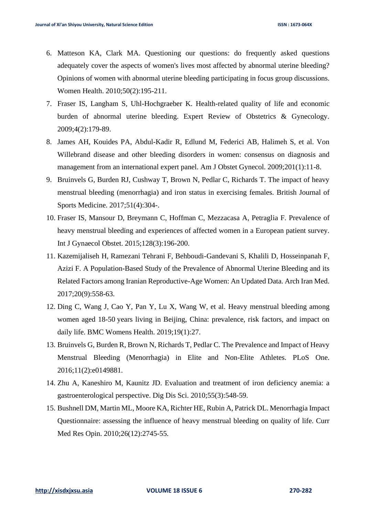- 6. Matteson KA, Clark MA. Questioning our questions: do frequently asked questions adequately cover the aspects of women's lives most affected by abnormal uterine bleeding? Opinions of women with abnormal uterine bleeding participating in focus group discussions. Women Health. 2010;50(2):195-211.
- 7. Fraser IS, Langham S, Uhl-Hochgraeber K. Health-related quality of life and economic burden of abnormal uterine bleeding. Expert Review of Obstetrics & Gynecology. 2009;4(2):179-89.
- 8. James AH, Kouides PA, Abdul-Kadir R, Edlund M, Federici AB, Halimeh S, et al. Von Willebrand disease and other bleeding disorders in women: consensus on diagnosis and management from an international expert panel. Am J Obstet Gynecol. 2009;201(1):11-8.
- 9. Bruinvels G, Burden RJ, Cushway T, Brown N, Pedlar C, Richards T. The impact of heavy menstrual bleeding (menorrhagia) and iron status in exercising females. British Journal of Sports Medicine. 2017;51(4):304-.
- 10. Fraser IS, Mansour D, Breymann C, Hoffman C, Mezzacasa A, Petraglia F. Prevalence of heavy menstrual bleeding and experiences of affected women in a European patient survey. Int J Gynaecol Obstet. 2015;128(3):196-200.
- 11. Kazemijaliseh H, Ramezani Tehrani F, Behboudi-Gandevani S, Khalili D, Hosseinpanah F, Azizi F. A Population-Based Study of the Prevalence of Abnormal Uterine Bleeding and its Related Factors among Iranian Reproductive-Age Women: An Updated Data. Arch Iran Med. 2017;20(9):558-63.
- 12. Ding C, Wang J, Cao Y, Pan Y, Lu X, Wang W, et al. Heavy menstrual bleeding among women aged 18-50 years living in Beijing, China: prevalence, risk factors, and impact on daily life. BMC Womens Health. 2019;19(1):27.
- 13. Bruinvels G, Burden R, Brown N, Richards T, Pedlar C. The Prevalence and Impact of Heavy Menstrual Bleeding (Menorrhagia) in Elite and Non-Elite Athletes. PLoS One. 2016;11(2):e0149881.
- 14. Zhu A, Kaneshiro M, Kaunitz JD. Evaluation and treatment of iron deficiency anemia: a gastroenterological perspective. Dig Dis Sci. 2010;55(3):548-59.
- 15. Bushnell DM, Martin ML, Moore KA, Richter HE, Rubin A, Patrick DL. Menorrhagia Impact Questionnaire: assessing the influence of heavy menstrual bleeding on quality of life. Curr Med Res Opin. 2010;26(12):2745-55.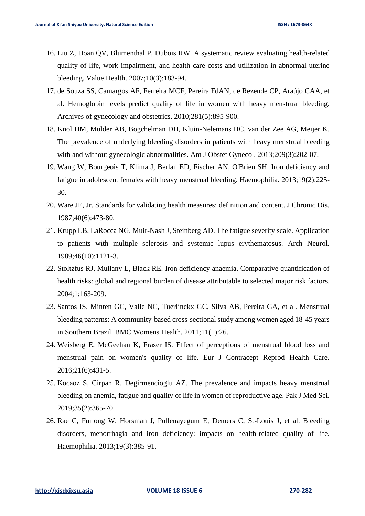- 16. Liu Z, Doan QV, Blumenthal P, Dubois RW. A systematic review evaluating health-related quality of life, work impairment, and health-care costs and utilization in abnormal uterine bleeding. Value Health. 2007;10(3):183-94.
- 17. de Souza SS, Camargos AF, Ferreira MCF, Pereira FdAN, de Rezende CP, Araújo CAA, et al. Hemoglobin levels predict quality of life in women with heavy menstrual bleeding. Archives of gynecology and obstetrics. 2010;281(5):895-900.
- 18. Knol HM, Mulder AB, Bogchelman DH, Kluin-Nelemans HC, van der Zee AG, Meijer K. The prevalence of underlying bleeding disorders in patients with heavy menstrual bleeding with and without gynecologic abnormalities. Am J Obstet Gynecol. 2013;209(3):202-07.
- 19. Wang W, Bourgeois T, Klima J, Berlan ED, Fischer AN, O'Brien SH. Iron deficiency and fatigue in adolescent females with heavy menstrual bleeding. Haemophilia. 2013;19(2):225- 30.
- 20. Ware JE, Jr. Standards for validating health measures: definition and content. J Chronic Dis. 1987;40(6):473-80.
- 21. Krupp LB, LaRocca NG, Muir-Nash J, Steinberg AD. The fatigue severity scale. Application to patients with multiple sclerosis and systemic lupus erythematosus. Arch Neurol. 1989;46(10):1121-3.
- 22. Stoltzfus RJ, Mullany L, Black RE. Iron deficiency anaemia. Comparative quantification of health risks: global and regional burden of disease attributable to selected major risk factors. 2004;1:163-209.
- 23. Santos IS, Minten GC, Valle NC, Tuerlinckx GC, Silva AB, Pereira GA, et al. Menstrual bleeding patterns: A community-based cross-sectional study among women aged 18-45 years in Southern Brazil. BMC Womens Health. 2011;11(1):26.
- 24. Weisberg E, McGeehan K, Fraser IS. Effect of perceptions of menstrual blood loss and menstrual pain on women's quality of life. Eur J Contracept Reprod Health Care. 2016;21(6):431-5.
- 25. Kocaoz S, Cirpan R, Degirmencioglu AZ. The prevalence and impacts heavy menstrual bleeding on anemia, fatigue and quality of life in women of reproductive age. Pak J Med Sci. 2019;35(2):365-70.
- 26. Rae C, Furlong W, Horsman J, Pullenayegum E, Demers C, St-Louis J, et al. Bleeding disorders, menorrhagia and iron deficiency: impacts on health-related quality of life. Haemophilia. 2013;19(3):385-91.